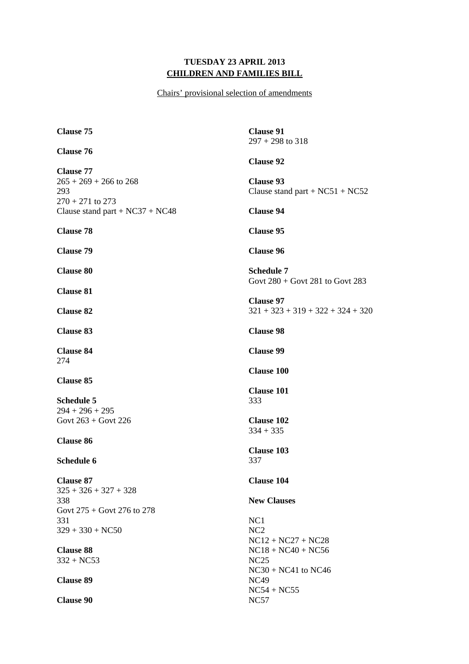## **TUESDAY 23 APRIL 2013 CHILDREN AND FAMILIES BILL**

Chairs' provisional selection of amendments

**Clause 75 Clause 76 Clause 77**   $265 + 269 + 266$  to 268 293 270 + 271 to 273 Clause stand part  $+ NC37 + NC48$ **Clause 78 Clause 79 Clause 80 Clause 81 Clause 82 Clause 83 Clause 84**  274 **Clause 85 Schedule 5**   $294 + 296 + 295$ Govt  $263 +$  Govt 226 **Clause 86 Schedule 6 Clause 87**   $325 + 326 + 327 + 328$ 338 Govt 275 + Govt 276 to 278 331  $329 + 330 + NC50$ **Clause 88**  332 + NC53 **Clause 89 Clause 90 Clause 91**  297 + 298 to 318 **Clause 92 Clause 93**  Clause stand part  $+ NC51 + NC52$ **Clause 94 Clause 95 Clause 96 Schedule 7**  Govt 280 + Govt 281 to Govt 283 **Clause 97**  321 + 323 + 319 + 322 + 324 + 320 **Clause 98 Clause 99 Clause 100 Clause 101**  333 **Clause 102**  334 + 335 **Clause 103**  337 **Clause 104 New Clauses**  NC1 NC2 NC12 + NC27 + NC28 NC18 + NC40 + NC56 NC25 NC30 + NC41 to NC46 NC49 NC54 + NC55 NC57